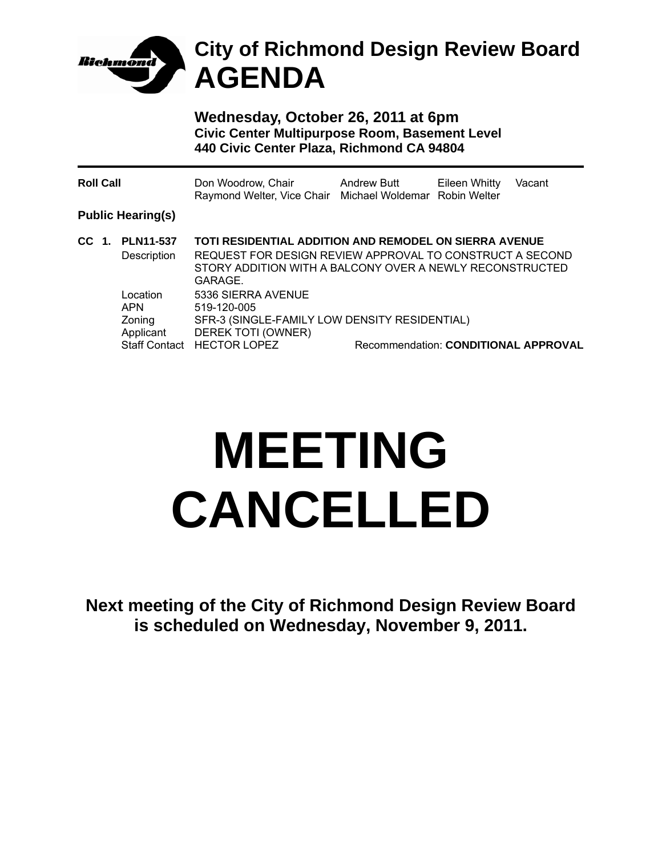

## **City of Richmond Design Review Board AGENDA**

**Wednesday, October 26, 2011 at 6pm Civic Center Multipurpose Room, Basement Level 440 Civic Center Plaza, Richmond CA 94804** 

| <b>Roll Call</b> |  |                                               | Don Woodrow, Chair<br>Raymond Welter, Vice Chair Michael Woldemar Robin Welter                                                                                                                   | <b>Andrew Butt</b> | Eileen Whitty | Vacant |
|------------------|--|-----------------------------------------------|--------------------------------------------------------------------------------------------------------------------------------------------------------------------------------------------------|--------------------|---------------|--------|
|                  |  | <b>Public Hearing(s)</b>                      |                                                                                                                                                                                                  |                    |               |        |
| CC 1.            |  | <b>PLN11-537</b><br>Description               | <b>TOTI RESIDENTIAL ADDITION AND REMODEL ON SIERRA AVENUE</b><br>REQUEST FOR DESIGN REVIEW APPROVAL TO CONSTRUCT A SECOND<br>STORY ADDITION WITH A BALCONY OVER A NEWLY RECONSTRUCTED<br>GARAGE. |                    |               |        |
|                  |  | Location<br><b>APN</b><br>Zoning<br>Applicant | 5336 SIERRA AVENUE<br>519-120-005<br>SFR-3 (SINGLE-FAMILY LOW DENSITY RESIDENTIAL)<br>DEREK TOTI (OWNER)<br>Staff Contact HECTOR LOPEZ<br>Recommendation: CONDITIONAL APPROVAL                   |                    |               |        |

## **MEETING CANCELLED**

**Next meeting of the City of Richmond Design Review Board is scheduled on Wednesday, November 9, 2011.**